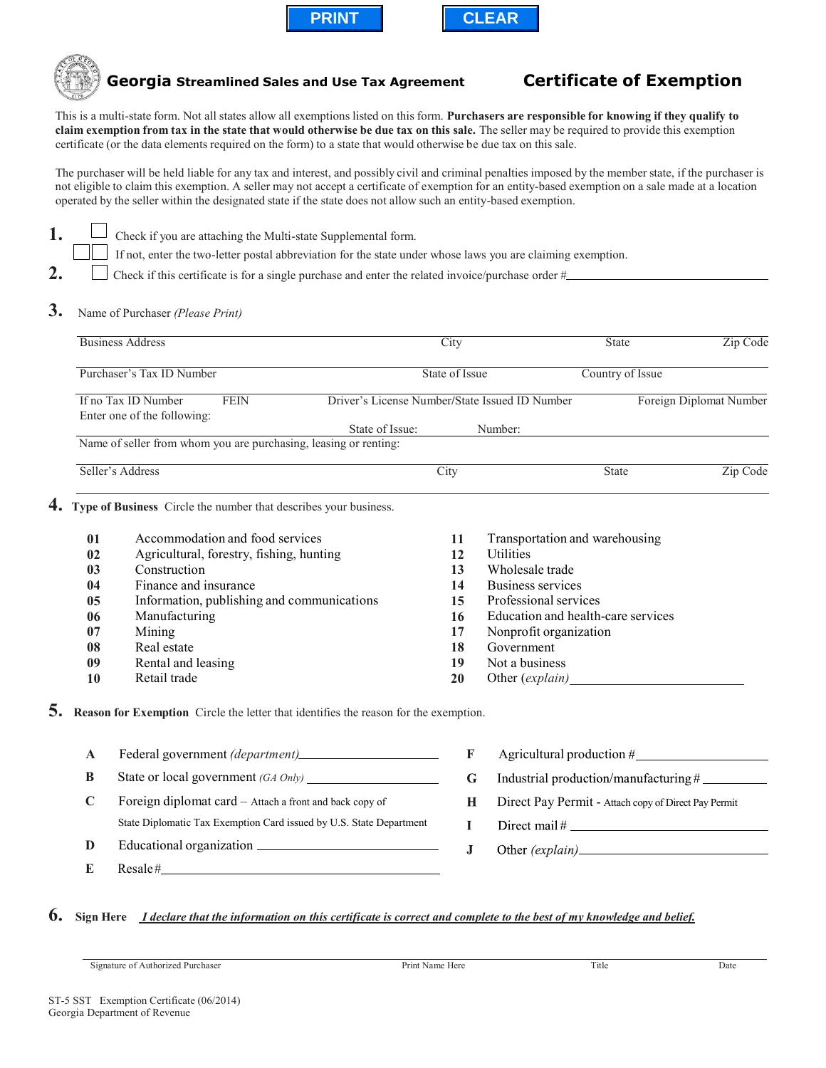





 **Georgia Streamlined Sales and Use Tax Agreement Certificate of Exemption**

This is a multi-state form. Not all states allow all exemptions listed on this form. **Purchasers are responsible for knowing if they qualify to claim exemption from tax in the state that would otherwise be due tax on this sale.** The seller may be required to provide this exemption certificate (or the data elements required on the form) to a state that would otherwise be due tax on this sale.

The purchaser will be held liable for any tax and interest, and possibly civil and criminal penalties imposed by the member state, if the purchaser is not eligible to claim this exemption. A seller may not accept a certificate of exemption for an entity-based exemption on a sale made at a location operated by the seller within the designated state if the state does not allow such an entity-based exemption.

- **1.** Check if you are attaching the Multi-state Supplemental form.
	- If not, enter the two-letter postal abbreviation for the state under whose laws you are claiming exemption.
- 2. Check if this certificate is for a single purchase and enter the related invoice/purchase order #
- **3.** Name of Purchaser *(Please Print)*

|             | <b>Business Address</b>                                                              |                 | City                                           |                                                      | <b>State</b>                          |                         |  |  |
|-------------|--------------------------------------------------------------------------------------|-----------------|------------------------------------------------|------------------------------------------------------|---------------------------------------|-------------------------|--|--|
|             | Purchaser's Tax ID Number                                                            |                 | State of Issue                                 |                                                      | Country of Issue                      |                         |  |  |
|             | If no Tax ID Number<br><b>FEIN</b><br>Enter one of the following:                    |                 | Driver's License Number/State Issued ID Number |                                                      |                                       | Foreign Diplomat Number |  |  |
|             | Name of seller from whom you are purchasing, leasing or renting:                     | State of Issue: |                                                | Number:                                              |                                       |                         |  |  |
|             | Seller's Address                                                                     |                 | City                                           |                                                      | Zip Code<br><b>State</b>              |                         |  |  |
| 4.          | Type of Business Circle the number that describes your business.                     |                 |                                                |                                                      |                                       |                         |  |  |
| 01          | Accommodation and food services                                                      |                 | 11                                             | Transportation and warehousing                       |                                       |                         |  |  |
| 02          | Agricultural, forestry, fishing, hunting                                             |                 | 12                                             | <b>Utilities</b>                                     |                                       |                         |  |  |
| 03          | Construction                                                                         |                 | 13                                             | Wholesale trade                                      |                                       |                         |  |  |
| 04          | Finance and insurance                                                                |                 | 14                                             | <b>Business services</b>                             |                                       |                         |  |  |
| 05          | Information, publishing and communications                                           |                 | 15                                             | Professional services                                |                                       |                         |  |  |
| 06          | Manufacturing                                                                        |                 | 16                                             |                                                      | Education and health-care services    |                         |  |  |
| 07          | Mining                                                                               |                 | 17                                             | Nonprofit organization                               |                                       |                         |  |  |
| 08          | Real estate                                                                          |                 | 18                                             | Government                                           |                                       |                         |  |  |
| 09<br>10    | Rental and leasing<br>Retail trade                                                   |                 | 19<br>20                                       | Not a business                                       |                                       |                         |  |  |
| 5.          | Reason for Exemption Circle the letter that identifies the reason for the exemption. |                 |                                                |                                                      |                                       |                         |  |  |
| $\mathbf A$ |                                                                                      |                 | F                                              | Agricultural production #                            |                                       |                         |  |  |
| B           | State or local government (GA Only)                                                  |                 | $\mathbf G$                                    |                                                      | Industrial production/manufacturing # |                         |  |  |
| $\mathbf C$ | Foreign diplomat card - Attach a front and back copy of                              |                 | H                                              | Direct Pay Permit - Attach copy of Direct Pay Permit |                                       |                         |  |  |
|             | State Diplomatic Tax Exemption Card issued by U.S. State Department                  |                 | $\mathbf{I}$                                   |                                                      |                                       |                         |  |  |
| D           |                                                                                      |                 | ${\bf J}$                                      |                                                      |                                       |                         |  |  |
| E           | $\text{Resale}\#$                                                                    |                 |                                                |                                                      |                                       |                         |  |  |

## **6. Sign Here** *I declare that the information on this certificate is correct and complete to the best of my knowledge and belief.*

Signature of Authorized Purchaser **Print Name Here** Print Name Here Title Date